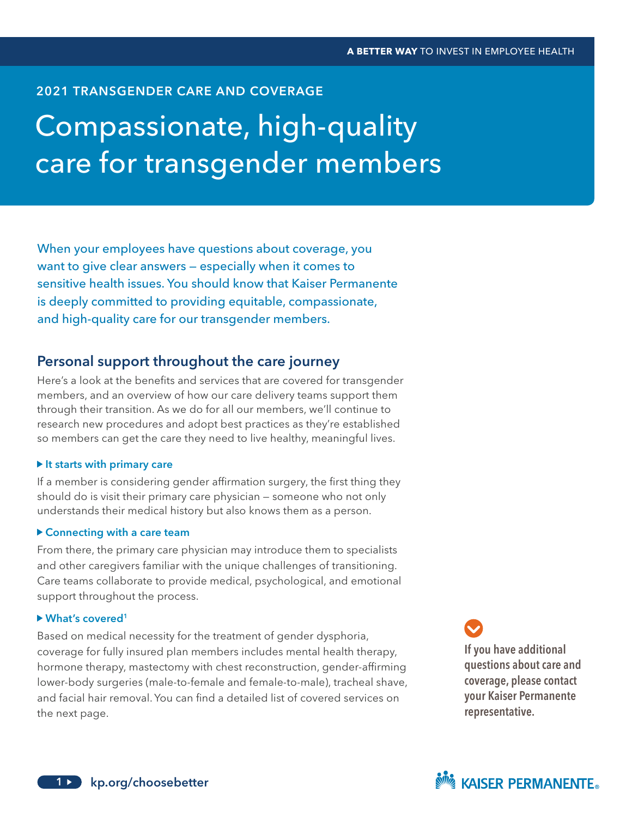### 2021 TRANSGENDER CARE AND COVERAGE

# Compassionate, high-quality care for transgender members

When your employees have questions about coverage, you want to give clear answers — especially when it comes to sensitive health issues. You should know that Kaiser Permanente is deeply committed to providing equitable, compassionate, and high-quality care for our transgender members.

## Personal support throughout the care journey

Here's a look at the benefits and services that are covered for transgender members, and an overview of how our care delivery teams support them through their transition. As we do for all our members, we'll continue to research new procedures and adopt best practices as they're established so members can get the care they need to live healthy, meaningful lives.

#### $\blacktriangleright$  It starts with primary care

If a member is considering gender affirmation surgery, the first thing they should do is visit their primary care physician — someone who not only understands their medical history but also knows them as a person.

#### Connecting with a care team

From there, the primary care physician may introduce them to specialists and other caregivers familiar with the unique challenges of transitioning. Care teams collaborate to provide medical, psychological, and emotional support throughout the process.

#### ▶ What's covered<sup>1</sup>

Based on medical necessity for the treatment of gender dysphoria, coverage for fully insured plan members includes mental health therapy, hormone therapy, mastectomy with chest reconstruction, gender-affirming lower-body surgeries (male-to-female and female-to-male), tracheal shave, and facial hair removal. You can find a detailed list of covered services on the next page.

If you have additional questions about care and coverage, please contact your Kaiser Permanente representative.